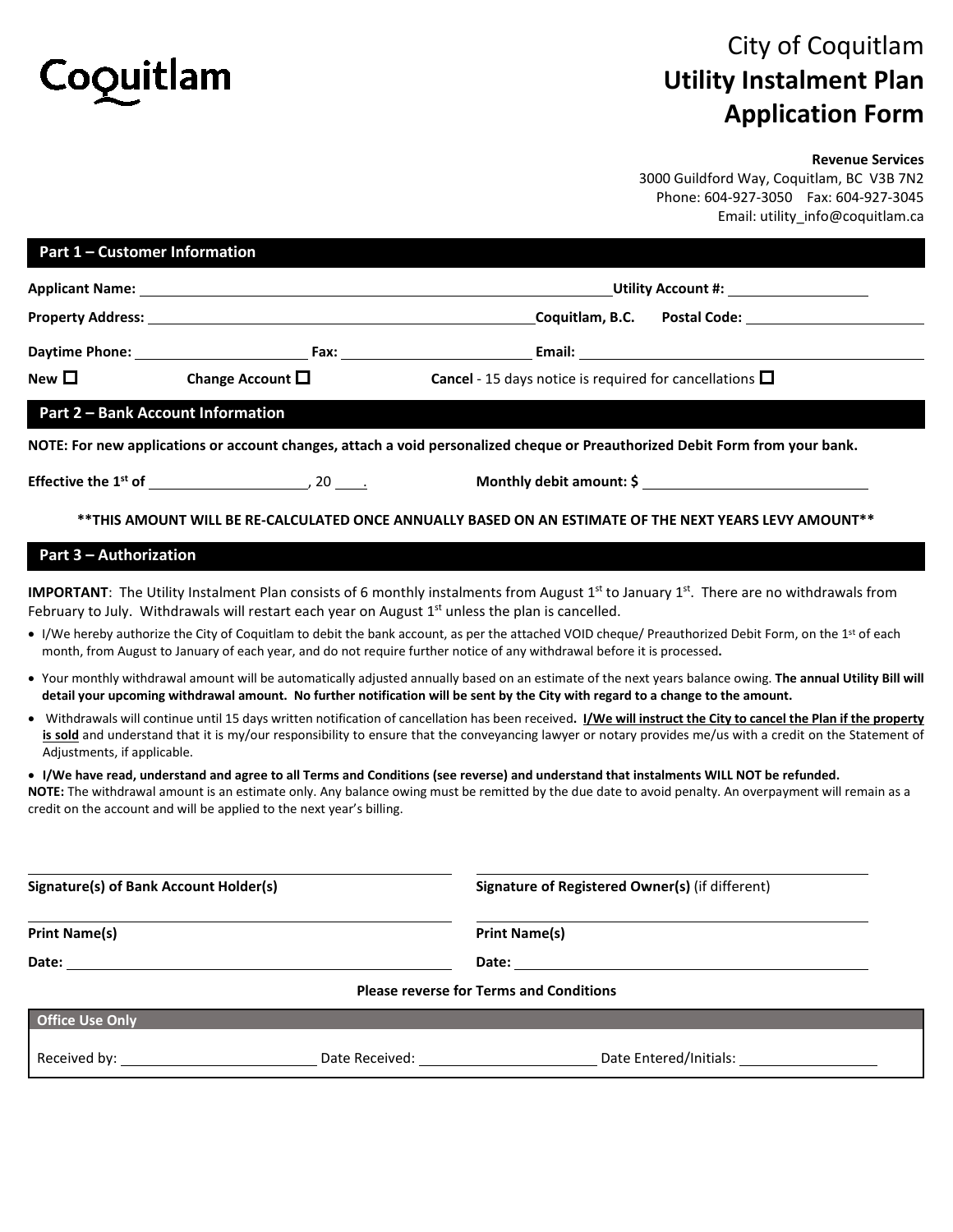

## City of Coquitlam **Utility Instalment Plan Application Form**

## **Revenue Services**

3000 Guildford Way, Coquitlam, BC V3B 7N2 Phone: 604-927-3050 Fax: 604-927-3045 Email: utility\_info@coquitlam.ca

| Part 1 - Customer Information                 |                                                                       |                                                                                                                                                                                                                                                                                                                                                                                                                                                                                                                                                      |                                                                                                                                                                                                                                                                                                                               |  |
|-----------------------------------------------|-----------------------------------------------------------------------|------------------------------------------------------------------------------------------------------------------------------------------------------------------------------------------------------------------------------------------------------------------------------------------------------------------------------------------------------------------------------------------------------------------------------------------------------------------------------------------------------------------------------------------------------|-------------------------------------------------------------------------------------------------------------------------------------------------------------------------------------------------------------------------------------------------------------------------------------------------------------------------------|--|
|                                               |                                                                       |                                                                                                                                                                                                                                                                                                                                                                                                                                                                                                                                                      | Utility Account #: <u>____________________</u>                                                                                                                                                                                                                                                                                |  |
|                                               |                                                                       |                                                                                                                                                                                                                                                                                                                                                                                                                                                                                                                                                      | Coquitlam, B.C. Postal Code: Communication Control Control Control Control Control Control Control Co                                                                                                                                                                                                                         |  |
|                                               |                                                                       |                                                                                                                                                                                                                                                                                                                                                                                                                                                                                                                                                      |                                                                                                                                                                                                                                                                                                                               |  |
| New $\Box$                                    | Change Account $\square$                                              | <b>Cancel</b> - 15 days notice is required for cancellations $\Box$                                                                                                                                                                                                                                                                                                                                                                                                                                                                                  |                                                                                                                                                                                                                                                                                                                               |  |
|                                               | <b>Part 2 - Bank Account Information</b>                              |                                                                                                                                                                                                                                                                                                                                                                                                                                                                                                                                                      |                                                                                                                                                                                                                                                                                                                               |  |
|                                               |                                                                       | NOTE: For new applications or account changes, attach a void personalized cheque or Preauthorized Debit Form from your bank.                                                                                                                                                                                                                                                                                                                                                                                                                         |                                                                                                                                                                                                                                                                                                                               |  |
|                                               |                                                                       |                                                                                                                                                                                                                                                                                                                                                                                                                                                                                                                                                      | Monthly debit amount: \$                                                                                                                                                                                                                                                                                                      |  |
|                                               |                                                                       | **THIS AMOUNT WILL BE RE-CALCULATED ONCE ANNUALLY BASED ON AN ESTIMATE OF THE NEXT YEARS LEVY AMOUNT**                                                                                                                                                                                                                                                                                                                                                                                                                                               |                                                                                                                                                                                                                                                                                                                               |  |
| <b>Part 3 - Authorization</b>                 |                                                                       |                                                                                                                                                                                                                                                                                                                                                                                                                                                                                                                                                      |                                                                                                                                                                                                                                                                                                                               |  |
|                                               |                                                                       | <b>IMPORTANT:</b> The Utility Instalment Plan consists of 6 monthly instalments from August 1 <sup>st</sup> to January 1st. There are no withdrawals from<br>February to July. Withdrawals will restart each year on August $1st$ unless the plan is cancelled.<br>• I/We hereby authorize the City of Coquitlam to debit the bank account, as per the attached VOID cheque/ Preauthorized Debit Form, on the 1st of each<br>month, from August to January of each year, and do not require further notice of any withdrawal before it is processed. |                                                                                                                                                                                                                                                                                                                               |  |
|                                               |                                                                       | detail your upcoming withdrawal amount. No further notification will be sent by the City with regard to a change to the amount.                                                                                                                                                                                                                                                                                                                                                                                                                      | • Your monthly withdrawal amount will be automatically adjusted annually based on an estimate of the next years balance owing. The annual Utility Bill will                                                                                                                                                                   |  |
| Adjustments, if applicable.                   |                                                                       |                                                                                                                                                                                                                                                                                                                                                                                                                                                                                                                                                      | • Withdrawals will continue until 15 days written notification of cancellation has been received. I/We will instruct the City to cancel the Plan if the property<br>is sold and understand that it is my/our responsibility to ensure that the conveyancing lawyer or notary provides me/us with a credit on the Statement of |  |
|                                               | credit on the account and will be applied to the next year's billing. | • I/We have read, understand and agree to all Terms and Conditions (see reverse) and understand that instalments WILL NOT be refunded.<br>NOTE: The withdrawal amount is an estimate only. Any balance owing must be remitted by the due date to avoid penalty. An overpayment will remain as a                                                                                                                                                                                                                                                      |                                                                                                                                                                                                                                                                                                                               |  |
| <b>Signature(s) of Bank Account Holder(s)</b> |                                                                       |                                                                                                                                                                                                                                                                                                                                                                                                                                                                                                                                                      | Signature of Registered Owner(s) (if different)                                                                                                                                                                                                                                                                               |  |
| <b>Print Name(s)</b>                          |                                                                       | <b>Print Name(s)</b>                                                                                                                                                                                                                                                                                                                                                                                                                                                                                                                                 |                                                                                                                                                                                                                                                                                                                               |  |
|                                               |                                                                       |                                                                                                                                                                                                                                                                                                                                                                                                                                                                                                                                                      |                                                                                                                                                                                                                                                                                                                               |  |
|                                               |                                                                       | <b>Please reverse for Terms and Conditions</b>                                                                                                                                                                                                                                                                                                                                                                                                                                                                                                       |                                                                                                                                                                                                                                                                                                                               |  |
| <b>Office Use Only</b>                        |                                                                       |                                                                                                                                                                                                                                                                                                                                                                                                                                                                                                                                                      |                                                                                                                                                                                                                                                                                                                               |  |
|                                               |                                                                       |                                                                                                                                                                                                                                                                                                                                                                                                                                                                                                                                                      |                                                                                                                                                                                                                                                                                                                               |  |
|                                               |                                                                       |                                                                                                                                                                                                                                                                                                                                                                                                                                                                                                                                                      |                                                                                                                                                                                                                                                                                                                               |  |